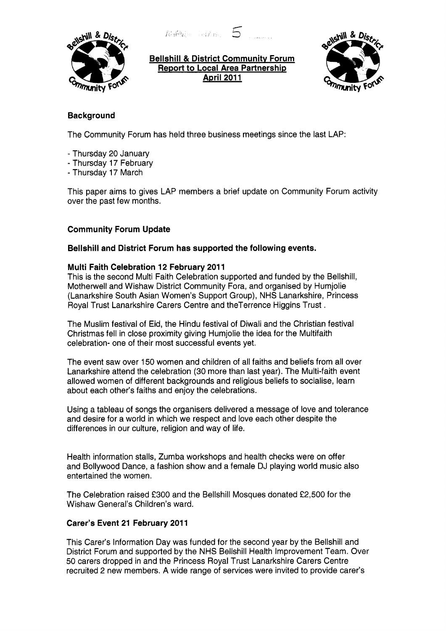

**Bellshill** & **District Communitv Forum Report to Local Area Partnership April 201 1** 



# **Background**

The Community Forum has held three business meetings since the last LAP:

*(3 r* **.I1** 

- Thursday **20** January
- Thursday 17 February
- Thursday 17 March

This paper aims to gives LAP members a brief update on Community Forum activity over the past few months.

## **Community Forum Update**

#### **Bellshill and District Forum has supported the following events.**

#### **Multi Faith Celebration 12 February 2011**

This is the second Multi Faith Celebration supported and funded by the Bellshill, Motherwell and Wishaw District Community Fora, and organised by Humjolie (Lanarkshire South Asian Women's Support Group), NHS Lanarkshire, Princess Royal Trust Lanarkshire Carers Centre and theTerrence Higgins Trust .

The Muslim festival of Eid, the Hindu festival of Diwali and the Christian festival Christmas fell in close proximity giving Humjolie the idea for the Multifaith celebration- one of their most successful events yet.

The event saw over 150 women and children of all faiths and beliefs from all over Lanarkshire attend the celebration **(30** more than last year). The Multi-faith event allowed women of different backgrounds and religious beliefs to socialise, learn about each other's faiths and enjoy the celebrations.

Using a tableau of songs the organisers delivered a message of love and tolerance and desire for a world in which we respect and love each other despite the differences in our culture, religion and way of life.

Health information stalls, Zumba workshops and health checks were on offer and Bollywood Dance, a fashion show and a female DJ playing world music also entertained the women.

The Celebration raised **f300** and the Bellshill Mosques donated **f2,500** for the Wishaw General's Children's ward.

#### Carer's Event 21 February 2011

This Carer's Information Day was funded for the second year by the Bellshill and District Forum and supported by the NHS Bellshill Health Improvement Team. Over 50 carers dropped in and the Princess Royal Trust Lanarkshire Carers Centre recruited **2** new members. A wide range of services were invited to provide carer's